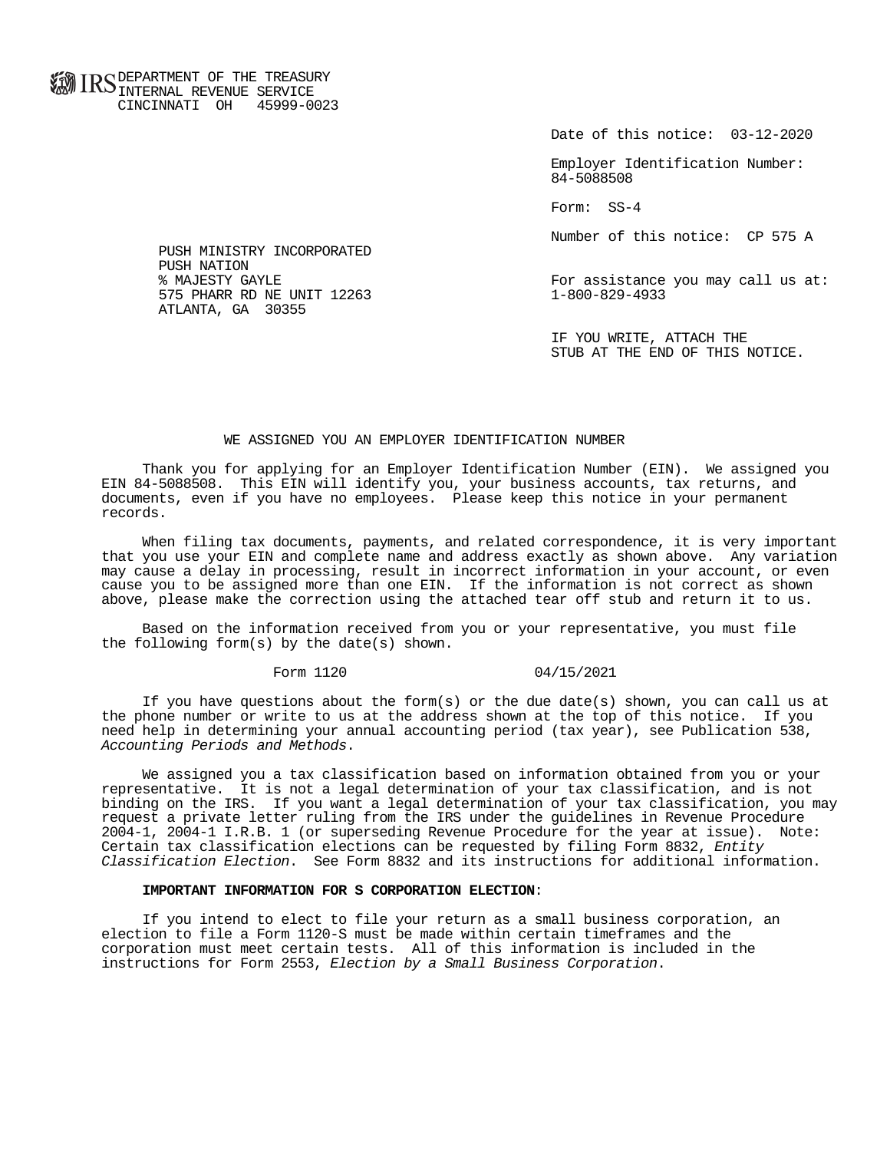**FOR ID C** DEPARTMENT OF THE TREASURY **WWW IIND** INTERNAL REVENUE SERVICE CINCINNATI OH 45999-0023

Date of this notice: 03-12-2020

 Employer Identification Number: 84-5088508

Form: SS-4

Number of this notice: CP 575 A

For assistance you may call us at:<br>1-800-829-4933

 IF YOU WRITE, ATTACH THE STUB AT THE END OF THIS NOTICE.

## WE ASSIGNED YOU AN EMPLOYER IDENTIFICATION NUMBER

 Thank you for applying for an Employer Identification Number (EIN). We assigned you EIN 84-5088508. This EIN will identify you, your business accounts, tax returns, and documents, even if you have no employees. Please keep this notice in your permanent records.

 When filing tax documents, payments, and related correspondence, it is very important that you use your EIN and complete name and address exactly as shown above. Any variation may cause a delay in processing, result in incorrect information in your account, or even cause you to be assigned more than one EIN. If the information is not correct as shown above, please make the correction using the attached tear off stub and return it to us.

 Based on the information received from you or your representative, you must file the following form(s) by the date(s) shown.

## Form 1120 04/15/2021

If you have questions about the form(s) or the due date(s) shown, you can call us at the phone number or write to us at the address shown at the top of this notice. If you need help in determining your annual accounting period (tax year), see Publication 538, Accounting Periods and Methods.

 We assigned you a tax classification based on information obtained from you or your representative. It is not a legal determination of your tax classification, and is not binding on the IRS. If you want a legal determination of your tax classification, you may request a private letter ruling from the IRS under the guidelines in Revenue Procedure 2004-1, 2004-1 I.R.B. 1 (or superseding Revenue Procedure for the year at issue). Note: Certain tax classification elections can be requested by filing Form 8832, Entity Classification Election. See Form 8832 and its instructions for additional information.

## **IMPORTANT INFORMATION FOR S CORPORATION ELECTION**:

 If you intend to elect to file your return as a small business corporation, an election to file a Form 1120-S must be made within certain timeframes and the corporation must meet certain tests. All of this information is included in the instructions for Form 2553, Election by a Small Business Corporation.

 PUSH MINISTRY INCORPORATED PUSH NATION<br>% MAJESTY GAYLE 575 PHARR RD NE UNIT 12263 ATLANTA, GA 30355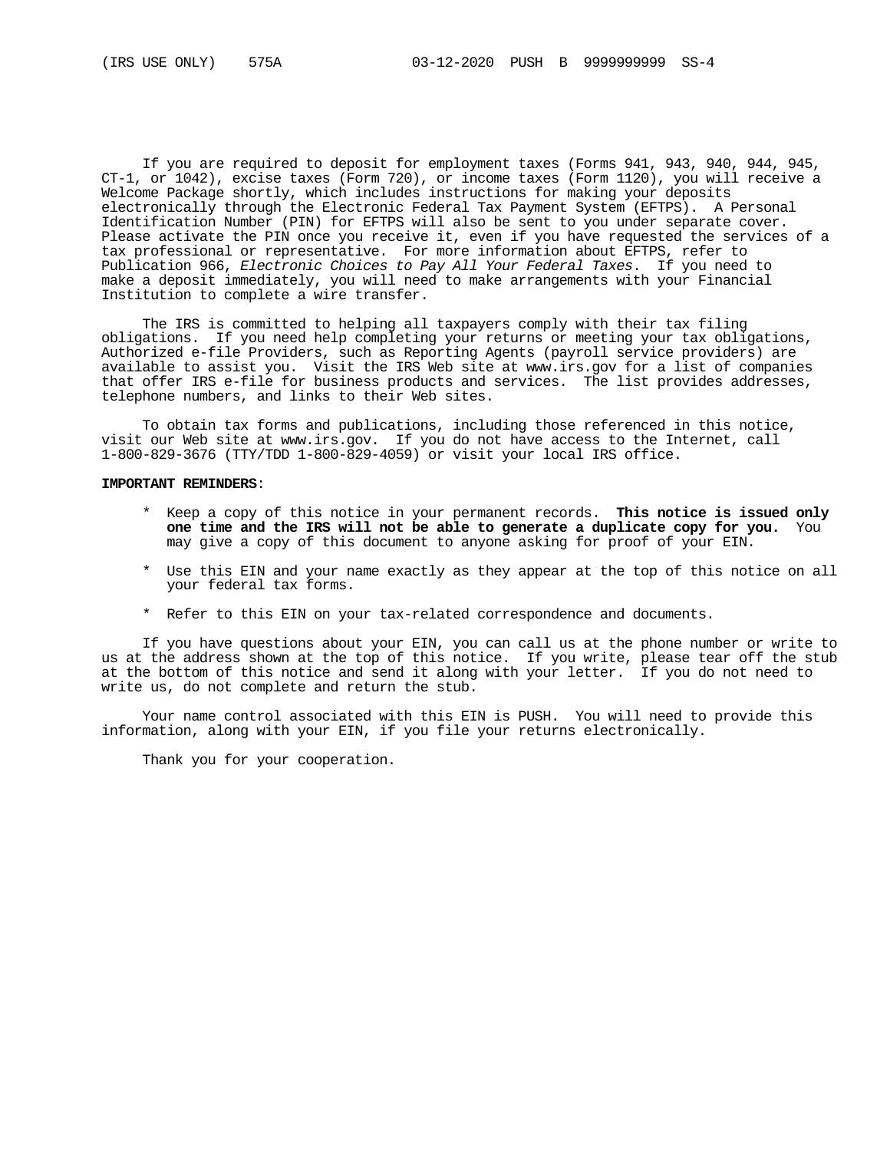If you are required to deposit for employment taxes (Forms 941, 943, 940, 944, 945, CT-1, or 1042), excise taxes (Form 720), or income taxes (Form 1120), you will receive a Welcome Package shortly, which includes instructions for making your deposits electronically through the Electronic Federal Tax Payment System (EFTPS). A Personal Identification Number (PIN) for EFTPS will also be sent to you under separate cover. Please activate the PIN once you receive it, even if you have requested the services of a tax professional or representative. For more information about EFTPS, refer to Publication 966, Electronic Choices to Pay All Your Federal Taxes. If you need to make a deposit immediately, you will need to make arrangements with your Financial Institution to complete a wire transfer.

 The IRS is committed to helping all taxpayers comply with their tax filing obligations. If you need help completing your returns or meeting your tax obligations, Authorized e-file Providers, such as Reporting Agents (payroll service providers) are available to assist you. Visit the IRS Web site at www.irs.gov for a list of companies that offer IRS e-file for business products and services. The list provides addresses, telephone numbers, and links to their Web sites.

 To obtain tax forms and publications, including those referenced in this notice, visit our Web site at www.irs.gov. If you do not have access to the Internet, call 1-800-829-3676 (TTY/TDD 1-800-829-4059) or visit your local IRS office.

## **IMPORTANT REMINDERS**:

- \* Keep a copy of this notice in your permanent records. **This notice is issued only one time and the IRS will not be able to generate a duplicate copy for you.** You may give a copy of this document to anyone asking for proof of your EIN.
- \* Use this EIN and your name exactly as they appear at the top of this notice on all your federal tax forms.
- \* Refer to this EIN on your tax-related correspondence and documents.

 If you have questions about your EIN, you can call us at the phone number or write to us at the address shown at the top of this notice. If you write, please tear off the stub at the bottom of this notice and send it along with your letter. If you do not need to write us, do not complete and return the stub.

 Your name control associated with this EIN is PUSH. You will need to provide this information, along with your EIN, if you file your returns electronically.

Thank you for your cooperation.